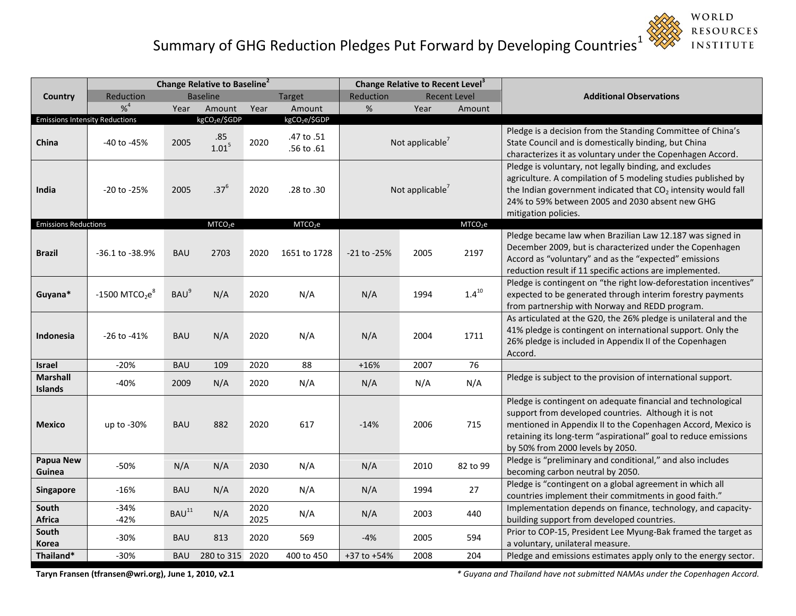## Summary of GHG Reduction Pledges Put Forward by Developing Countries $^1$



|                                       | Change Relative to Baseline <sup>2</sup> |                   |                           |              |                           | Change Relative to Recent Level <sup>3</sup> |                             |                     |                                                                                                                                                                                                                                                                                             |
|---------------------------------------|------------------------------------------|-------------------|---------------------------|--------------|---------------------------|----------------------------------------------|-----------------------------|---------------------|---------------------------------------------------------------------------------------------------------------------------------------------------------------------------------------------------------------------------------------------------------------------------------------------|
| Country                               | Reduction                                | <b>Baseline</b>   |                           |              | <b>Target</b>             | Reduction<br><b>Recent Level</b>             |                             |                     | <b>Additional Observations</b>                                                                                                                                                                                                                                                              |
|                                       | $% ^{4}$                                 | Year              | Amount                    | Year         | Amount                    | %                                            | Year                        | Amount              |                                                                                                                                                                                                                                                                                             |
| <b>Emissions Intensity Reductions</b> |                                          |                   | kgCO <sub>2</sub> e/\$GDP |              | kgCO <sub>2</sub> e/\$GDP |                                              |                             |                     |                                                                                                                                                                                                                                                                                             |
| China                                 | -40 to -45%                              | 2005              | .85<br>$1.01^{5}$         | 2020         | .47 to .51<br>.56 to .61  |                                              | Not applicable <sup>7</sup> |                     | Pledge is a decision from the Standing Committee of China's<br>State Council and is domestically binding, but China<br>characterizes it as voluntary under the Copenhagen Accord.                                                                                                           |
| India                                 | -20 to -25%                              | 2005              | $.37^{6}$                 | 2020         | .28 to .30                | Not applicable <sup>7</sup>                  |                             |                     | Pledge is voluntary, not legally binding, and excludes<br>agriculture. A compilation of 5 modeling studies published by<br>the Indian government indicated that CO <sub>2</sub> intensity would fall<br>24% to 59% between 2005 and 2030 absent new GHG<br>mitigation policies.             |
| <b>Emissions Reductions</b>           |                                          |                   | MTCO <sub>2</sub> e       |              | MTCO <sub>2</sub> e       |                                              |                             | MTCO <sub>2</sub> e |                                                                                                                                                                                                                                                                                             |
| <b>Brazil</b>                         | -36.1 to -38.9%                          | <b>BAU</b>        | 2703                      | 2020         | 1651 to 1728              | -21 to -25%                                  | 2005                        | 2197                | Pledge became law when Brazilian Law 12.187 was signed in<br>December 2009, but is characterized under the Copenhagen<br>Accord as "voluntary" and as the "expected" emissions<br>reduction result if 11 specific actions are implemented.                                                  |
| Guyana*                               | $-1500$ MTCO <sub>2</sub> e <sup>8</sup> | BAU <sup>9</sup>  | N/A                       | 2020         | N/A                       | N/A                                          | 1994                        | $1.4^{10}$          | Pledge is contingent on "the right low-deforestation incentives"<br>expected to be generated through interim forestry payments<br>from partnership with Norway and REDD program.                                                                                                            |
| Indonesia                             | -26 to -41%                              | <b>BAU</b>        | N/A                       | 2020         | N/A                       | N/A                                          | 2004                        | 1711                | As articulated at the G20, the 26% pledge is unilateral and the<br>41% pledge is contingent on international support. Only the<br>26% pledge is included in Appendix II of the Copenhagen<br>Accord.                                                                                        |
| <b>Israel</b>                         | $-20%$                                   | <b>BAU</b>        | 109                       | 2020         | 88                        | $+16%$                                       | 2007                        | 76                  |                                                                                                                                                                                                                                                                                             |
| <b>Marshall</b><br><b>Islands</b>     | $-40%$                                   | 2009              | N/A                       | 2020         | N/A                       | N/A                                          | N/A                         | N/A                 | Pledge is subject to the provision of international support.                                                                                                                                                                                                                                |
| <b>Mexico</b>                         | up to $-30\%$                            | <b>BAU</b>        | 882                       | 2020         | 617                       | $-14%$                                       | 2006                        | 715                 | Pledge is contingent on adequate financial and technological<br>support from developed countries. Although it is not<br>mentioned in Appendix II to the Copenhagen Accord, Mexico is<br>retaining its long-term "aspirational" goal to reduce emissions<br>by 50% from 2000 levels by 2050. |
| <b>Papua New</b><br>Guinea            | $-50%$                                   | N/A               | N/A                       | 2030         | N/A                       | N/A                                          | 2010                        | 82 to 99            | Pledge is "preliminary and conditional," and also includes<br>becoming carbon neutral by 2050.                                                                                                                                                                                              |
| Singapore                             | -16%                                     | <b>BAU</b>        | N/A                       | 2020         | N/A                       | N/A                                          | 1994                        | 27                  | Pledge is "contingent on a global agreement in which all<br>countries implement their commitments in good faith."                                                                                                                                                                           |
| South<br>Africa                       | $-34%$<br>$-42%$                         | BAU <sup>11</sup> | N/A                       | 2020<br>2025 | N/A                       | N/A                                          | 2003                        | 440                 | Implementation depends on finance, technology, and capacity-<br>building support from developed countries.                                                                                                                                                                                  |
| South<br>Korea                        | $-30%$                                   | <b>BAU</b>        | 813                       | 2020         | 569                       | $-4%$                                        | 2005                        | 594                 | Prior to COP-15, President Lee Myung-Bak framed the target as<br>a voluntary, unilateral measure.                                                                                                                                                                                           |
| Thailand*                             | $-30%$                                   | <b>BAU</b>        | 280 to 315 2020           |              | 400 to 450                | $+37$ to $+54%$                              | 2008                        | 204                 | Pledge and emissions estimates apply only to the energy sector.                                                                                                                                                                                                                             |

**Taryn Fransen (tfransen@wri.org), June 1, 2010, v2.1** *\* Guyana and Thailand have not submitted NAMAs under the Copenhagen Accord.*